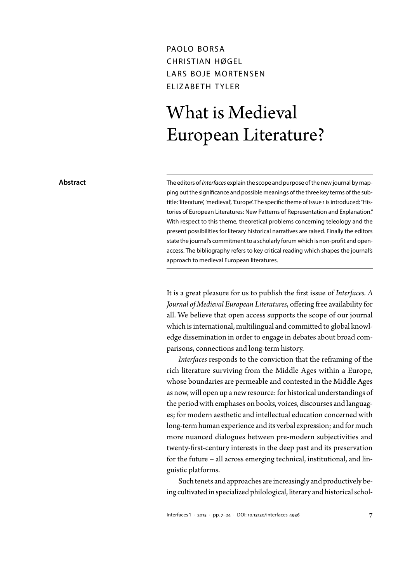paolo borsa christian høgel LARS BOJE MORTENSEN ELIZABETH TYLER

# What is Medieval European Literature?

#### **Abstract**

The editors of *Interfaces* explain the scope and purpose of the new journal by mapping out the significance and possible meanings of the three key terms of the subtitle: 'literature', 'medieval', 'Europe'. The specific theme of Issue 1 is introduced: "Histories of European Literatures: New Patterns of Representation and Explanation." With respect to this theme, theoretical problems concerning teleology and the present possibilities for literary historical narratives are raised. Finally the editors state the journal's commitment to a scholarly forum which is non-profit and openaccess. The bibliography refers to key critical reading which shapes the journal's approach to medieval European literatures.

It is a great pleasure for us to publish the first issue of *Interfaces. A Journal of Medieval European Literatures*, offering free availability for all. We believe that open access supports the scope of our journal which is international, multilingual and committed to global knowledge dissemination in order to engage in debates about broad comparisons, connections and long-term history.

*Interfaces* responds to the conviction that the reframing of the rich literature surviving from the Middle Ages within a Europe, whose boundaries are permeable and contested in the Middle Ages as now, will open up a new resource: for historical understandings of the period with emphases on books, voices, discourses and languages; for modern aesthetic and intellectual education concerned with long-term human experience and its verbal expression; and for much more nuanced dialogues between pre-modern subjectivities and twenty-first-century interests in the deep past and its preservation for the future – all across emerging technical, institutional, and linguistic platforms.

Such tenets and approaches are increasingly and productively being cultivated in specialized philological, literary and historical schol-

 $Interfaces 1 · 2015 · pp. 7-24 · DOI: 10.13130/interfaces-4936$  7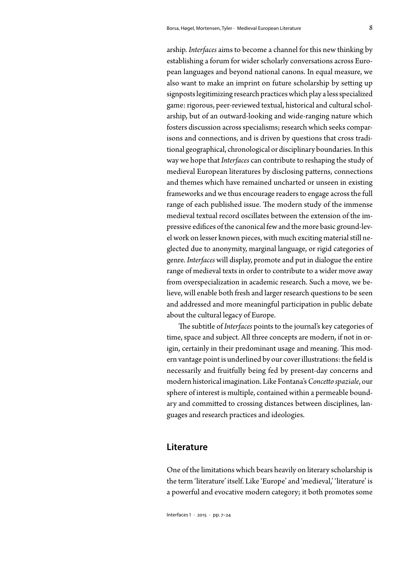arship. *Interfaces* aims to become a channel for this new thinking by establishing a forum for wider scholarly conversations across European languages and beyond national canons. In equal measure, we also want to make an imprint on future scholarship by setting up signposts legitimizing research practices which play a less specialized game: rigorous, peer-reviewed textual, historical and cultural scholarship, but of an outward-looking and wide-ranging nature which fosters discussion across specialisms; research which seeks comparisons and connections, and is driven by questions that cross traditional geographical, chronological or disciplinary boundaries. In this way we hope that *Interfaces* can contribute to reshaping the study of medieval European literatures by disclosing patterns, connections and themes which have remained uncharted or unseen in existing frameworks and we thus encourage readers to engage across the full range of each published issue. The modern study of the immense medieval textual record oscillates between the extension of the impressive edifices of the canonical few and the more basic ground-level work on lesser known pieces, with much exciting material still neglected due to anonymity, marginal language, or rigid categories of genre. *Interfaces* will display, promote and put in dialogue the entire range of medieval texts in order to contribute to a wider move away from overspecialization in academic research. Such a move, we believe, will enable both fresh and larger research questions to be seen and addressed and more meaningful participation in public debate about the cultural legacy of Europe.

The subtitle of *Interfaces* points to the journal's key categories of time, space and subject. All three concepts are modern, if not in origin, certainly in their predominant usage and meaning. This modern vantage point is underlined by our cover illustrations: the field is necessarily and fruitfully being fed by present-day concerns and modern historical imagination. Like Fontana's *Concetto spaziale*, our sphere of interest is multiple, contained within a permeable boundary and committed to crossing distances between disciplines, languages and research practices and ideologies.

## **Literature**

One of the limitations which bears heavily on literary scholarship is the term 'literature' itself. Like 'Europe' and 'medieval,' 'literature' is a powerful and evocative modern category; it both promotes some

Interfaces  $1 \cdot 2015 \cdot pp.$  7-24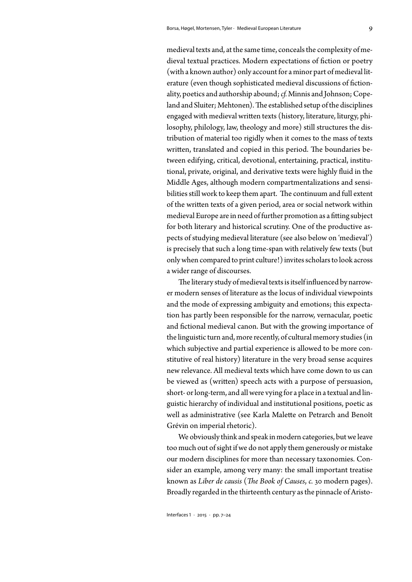medieval texts and, at the same time, conceals the complexity of medieval textual practices. Modern expectations of fiction or poetry (with a known author) only account for a minor part of medieval literature (even though sophisticated medieval discussions of fictionality, poetics and authorship abound; *cf.* Minnis and Johnson; Copeland and Sluiter; Mehtonen). The established setup of the disciplines engaged with medieval written texts (history, literature, liturgy, philosophy, philology, law, theology and more) still structures the distribution of material too rigidly when it comes to the mass of texts written, translated and copied in this period. The boundaries between edifying, critical, devotional, entertaining, practical, institutional, private, original, and derivative texts were highly fluid in the Middle Ages, although modern compartmentalizations and sensibilities still work to keep them apart. The continuum and full extent of the written texts of a given period, area or social network within medieval Europe are in need of further promotion as a fitting subject for both literary and historical scrutiny. One of the productive aspects of studying medieval literature (see also below on 'medieval') is precisely that such a long time-span with relatively few texts (but only when compared to print culture!) invites scholars to look across a wider range of discourses.

The literary study of medieval texts is itself influenced by narrower modern senses of literature as the locus of individual viewpoints and the mode of expressing ambiguity and emotions; this expectation has partly been responsible for the narrow, vernacular, poetic and fictional medieval canon. But with the growing importance of the linguistic turn and, more recently, of cultural memory studies (in which subjective and partial experience is allowed to be more constitutive of real history) literature in the very broad sense acquires new relevance. All medieval texts which have come down to us can be viewed as (written) speech acts with a purpose of persuasion, short- or long-term, and all were vying for a place in a textual and linguistic hierarchy of individual and institutional positions, poetic as well as administrative (see Karla Malette on Petrarch and Benoît Grévin on imperial rhetoric).

We obviously think and speak in modern categories, but we leave too much out of sight if we do not apply them generously or mistake our modern disciplines for more than necessary taxonomies. Consider an example, among very many: the small important treatise known as *Liber de causis* (*The Book of Causes*, *c.* 30 modern pages). Broadly regarded in the thirteenth century as the pinnacle of Aristo-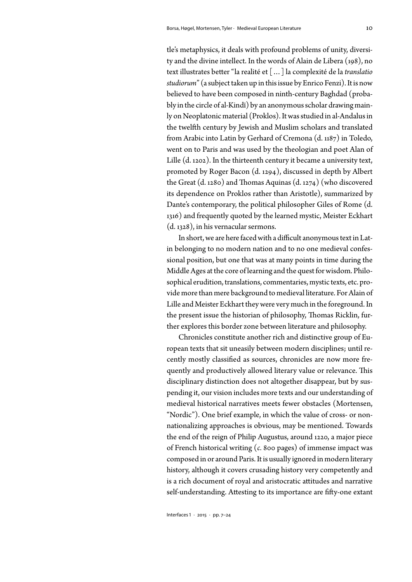tle's metaphysics, it deals with profound problems of unity, diversity and the divine intellect. In the words of Alain de Libera (198), no text illustrates better "la realité et […] la complexité de la *translatio studiorum*" (a subject taken up in this issue by Enrico Fenzi). It is now believed to have been composed in ninth-century Baghdad (probably in the circle of al-Kindī) by an anonymous scholar drawing mainly on Neoplatonic material (Proklos). It was studied in al-Andalus in the twelfth century by Jewish and Muslim scholars and translated from Arabic into Latin by Gerhard of Cremona (d. 1187) in Toledo, went on to Paris and was used by the theologian and poet Alan of Lille (d. 1202). In the thirteenth century it became a university text, promoted by Roger Bacon (d. 1294), discussed in depth by Albert the Great (d. 1280) and Thomas Aquinas (d. 1274) (who discovered its dependence on Proklos rather than Aristotle), summarized by Dante's contemporary, the political philosopher Giles of Rome (d. 1316) and frequently quoted by the learned mystic, Meister Eckhart (d. 1328), in his vernacular sermons.

In short, we are here faced with a difficult anonymous text in Latin belonging to no modern nation and to no one medieval confessional position, but one that was at many points in time during the Middle Ages at the core of learning and the quest for wisdom. Philosophical erudition, translations, commentaries, mystic texts, etc. provide more than mere background to medieval literature. For Alain of Lille and Meister Eckhart they were very much in the foreground. In the present issue the historian of philosophy, Thomas Ricklin, further explores this border zone between literature and philosophy.

Chronicles constitute another rich and distinctive group of European texts that sit uneasily between modern disciplines; until recently mostly classified as sources, chronicles are now more frequently and productively allowed literary value or relevance. This disciplinary distinction does not altogether disappear, but by suspending it, our vision includes more texts and our understanding of medieval historical narratives meets fewer obstacles (Mortensen, "Nordic"). One brief example, in which the value of cross- or nonnationalizing approaches is obvious, may be mentioned. Towards the end of the reign of Philip Augustus, around 1220, a major piece of French historical writing (*c.* 800 pages) of immense impact was composed in or around Paris. It is usually ignored in modern literary history, although it covers crusading history very competently and is a rich document of royal and aristocratic attitudes and narrative self-understanding. Attesting to its importance are fifty-one extant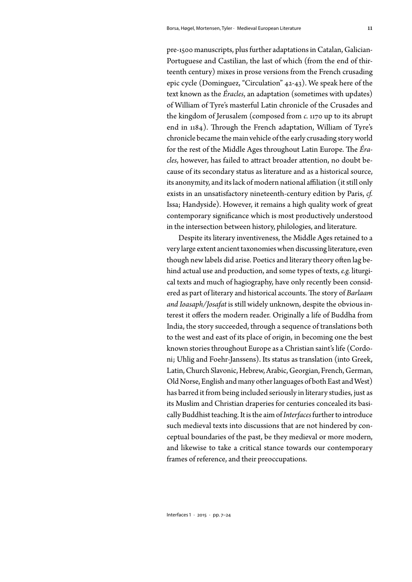pre-1500 manuscripts, plus further adaptations in Catalan, Galician-Portuguese and Castilian, the last of which (from the end of thirteenth century) mixes in prose versions from the French crusading epic cycle (Dominguez, "Circulation" 42-43). We speak here of the text known as the *Éracles*, an adaptation (sometimes with updates) of William of Tyre's masterful Latin chronicle of the Crusades and the kingdom of Jerusalem (composed from *c.* 1170 up to its abrupt end in 1184). Through the French adaptation, William of Tyre's chronicle became the main vehicle of the early crusading story world for the rest of the Middle Ages throughout Latin Europe. The *Éracles*, however, has failed to attract broader attention, no doubt because of its secondary status as literature and as a historical source, its anonymity, and its lack of modern national affiliation (it still only exists in an unsatisfactory nineteenth-century edition by Paris, *cf.* Issa; Handyside). However, it remains a high quality work of great contemporary significance which is most productively understood in the intersection between history, philologies, and literature.

Despite its literary inventiveness, the Middle Ages retained to a very large extent ancient taxonomies when discussing literature, even though new labels did arise. Poetics and literary theory often lag behind actual use and production, and some types of texts, *e.g.* liturgical texts and much of hagiography, have only recently been considered as part of literary and historical accounts. The story of *Barlaam and Ioasaph/Josafat* is still widely unknown, despite the obvious interest it offers the modern reader. Originally a life of Buddha from India, the story succeeded, through a sequence of translations both to the west and east of its place of origin, in becoming one the best known stories throughout Europe as a Christian saint's life (Cordoni; Uhlig and Foehr-Janssens). Its status as translation (into Greek, Latin, Church Slavonic, Hebrew, Arabic, Georgian, French, German, Old Norse, English and many other languages of both East and West) has barred it from being included seriously in literary studies, just as its Muslim and Christian draperies for centuries concealed its basically Buddhist teaching. It is the aim of *Interfaces* further to introduce such medieval texts into discussions that are not hindered by conceptual boundaries of the past, be they medieval or more modern, and likewise to take a critical stance towards our contemporary frames of reference, and their preoccupations.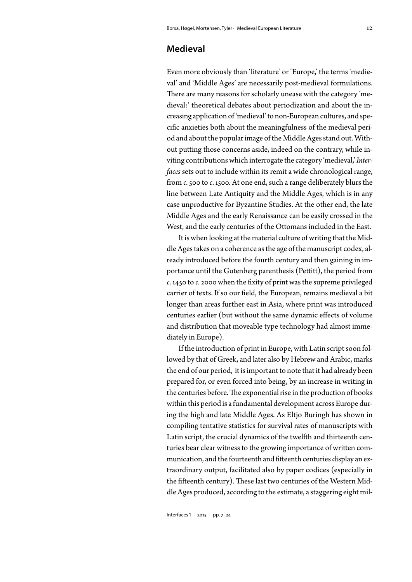## **Medieval**

Even more obviously than 'literature' or 'Europe,' the terms 'medieval' and 'Middle Ages' are necessarily post-medieval formulations. There are many reasons for scholarly unease with the category 'medieval:' theoretical debates about periodization and about the increasing application of 'medieval' to non-European cultures, and specific anxieties both about the meaningfulness of the medieval period and about the popular image of the Middle Ages stand out. Without putting those concerns aside, indeed on the contrary, while inviting contributions which interrogate the category 'medieval,' *Interfaces* sets out to include within its remit a wide chronological range, from *c*. 500 to *c*. 1500. At one end, such a range deliberately blurs the line between Late Antiquity and the Middle Ages, which is in any case unproductive for Byzantine Studies. At the other end, the late Middle Ages and the early Renaissance can be easily crossed in the West, and the early centuries of the Ottomans included in the East.

It is when looking at the material culture of writing that the Middle Ages takes on a coherence as the age of the manuscript codex, already introduced before the fourth century and then gaining in importance until the Gutenberg parenthesis (Pettitt), the period from *c*. 1450 to *c.* 2000 when the fixity of print was the supreme privileged carrier of texts. If so our field, the European, remains medieval a bit longer than areas further east in Asia, where print was introduced centuries earlier (but without the same dynamic effects of volume and distribution that moveable type technology had almost immediately in Europe).

If the introduction of print in Europe, with Latin script soon followed by that of Greek, and later also by Hebrew and Arabic, marks the end of our period, it is important to note that it had already been prepared for, or even forced into being, by an increase in writing in the centuries before. The exponential rise in the production of books within this period is a fundamental development across Europe during the high and late Middle Ages. As Eltjo Buringh has shown in compiling tentative statistics for survival rates of manuscripts with Latin script, the crucial dynamics of the twelfth and thirteenth centuries bear clear witness to the growing importance of written communication, and the fourteenth and fifteenth centuries display an extraordinary output, facilitated also by paper codices (especially in the fifteenth century). These last two centuries of the Western Middle Ages produced, according to the estimate, a staggering eight mil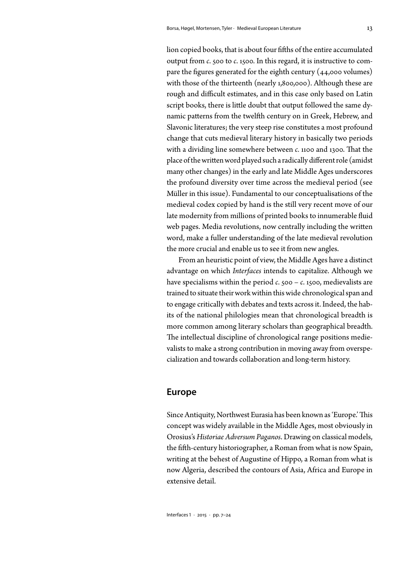lion copied books, that is about four fifths of the entire accumulated output from *c*. 500 to *c*. 1500. In this regard, it is instructive to compare the figures generated for the eighth century  $(44,000 \text{ volumes})$ with those of the thirteenth (nearly 1,800,000). Although these are rough and difficult estimates, and in this case only based on Latin script books, there is little doubt that output followed the same dynamic patterns from the twelfth century on in Greek, Hebrew, and Slavonic literatures; the very steep rise constitutes a most profound change that cuts medieval literary history in basically two periods with a dividing line somewhere between *c.* 1100 and 1300. That the place of the written word played such a radically different role (amidst many other changes) in the early and late Middle Ages underscores the profound diversity over time across the medieval period (see Müller in this issue). Fundamental to our conceptualisations of the medieval codex copied by hand is the still very recent move of our late modernity from millions of printed books to innumerable fluid web pages. Media revolutions, now centrally including the written word, make a fuller understanding of the late medieval revolution the more crucial and enable us to see it from new angles.

From an heuristic point of view, the Middle Ages have a distinct advantage on which *Interfaces* intends to capitalize. Although we have specialisms within the period *c*. 500 – *c*. 1500, medievalists are trained to situate their work within this wide chronological span and to engage critically with debates and texts across it. Indeed, the habits of the national philologies mean that chronological breadth is more common among literary scholars than geographical breadth. The intellectual discipline of chronological range positions medievalists to make a strong contribution in moving away from overspecialization and towards collaboration and long-term history.

#### **Europe**

Since Antiquity, Northwest Eurasia has been known as 'Europe.' This concept was widely available in the Middle Ages, most obviously in Orosius's *Historiae Adversum Paganos*. Drawing on classical models, the fifth-century historiographer, a Roman from what is now Spain, writing at the behest of Augustine of Hippo, a Roman from what is now Algeria, described the contours of Asia, Africa and Europe in extensive detail.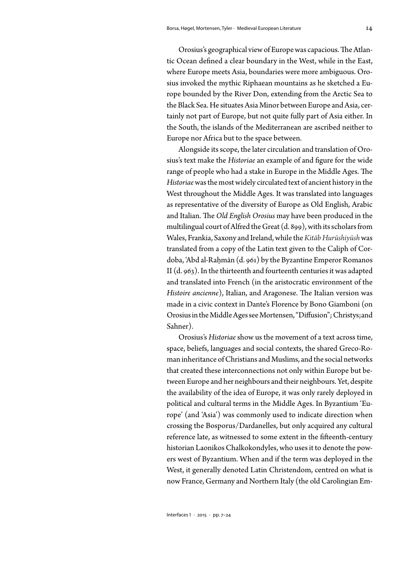Orosius's geographical view of Europe was capacious. The Atlantic Ocean defined a clear boundary in the West, while in the East, where Europe meets Asia, boundaries were more ambiguous. Orosius invoked the mythic Riphaean mountains as he sketched a Europe bounded by the River Don, extending from the Arctic Sea to the Black Sea. He situates Asia Minor between Europe and Asia, certainly not part of Europe, but not quite fully part of Asia either. In the South, the islands of the Mediterranean are ascribed neither to Europe nor Africa but to the space between.

Alongside its scope, the later circulation and translation of Orosius's text make the *Historiae* an example of and figure for the wide range of people who had a stake in Europe in the Middle Ages. The *Historiae* was the most widely circulated text of ancient history in the West throughout the Middle Ages. It was translated into languages as representative of the diversity of Europe as Old English, Arabic and Italian. The *Old English Orosius* may have been produced in the multilingual court of Alfred the Great (d. 899), with its scholars from Wales, Frankia, Saxony and Ireland, while the *Kitāb Hurūshiyūsh* was translated from a copy of the Latin text given to the Caliph of Cordoba, 'Abd al-Rahmān (d. 961) by the Byzantine Emperor Romanos .II (d. 963). In the thirteenth and fourteenth centuries it was adapted and translated into French (in the aristocratic environment of the *Histoire ancienne*), Italian, and Aragonese. The Italian version was made in a civic context in Dante's Florence by Bono Giamboni (on Orosius in the Middle Ages see Mortensen, "Diffusion"; Christys;and Sahner).

Orosius's *Historiae* show us the movement of a text across time, space, beliefs, languages and social contexts, the shared Greco-Roman inheritance of Christians and Muslims, and the social networks that created these interconnections not only within Europe but between Europe and her neighbours and their neighbours. Yet, despite the availability of the idea of Europe, it was only rarely deployed in political and cultural terms in the Middle Ages. In Byzantium 'Europe' (and 'Asia') was commonly used to indicate direction when crossing the Bosporus/Dardanelles, but only acquired any cultural reference late, as witnessed to some extent in the fifteenth-century historian Laonikos Chalkokondyles, who uses it to denote the powers west of Byzantium. When and if the term was deployed in the West, it generally denoted Latin Christendom, centred on what is now France, Germany and Northern Italy (the old Carolingian Em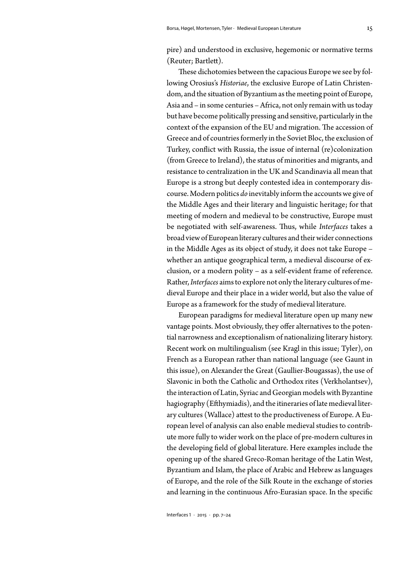pire) and understood in exclusive, hegemonic or normative terms (Reuter; Bartlett).

These dichotomies between the capacious Europe we see by following Orosius's *Historiae*, the exclusive Europe of Latin Christendom, and the situation of Byzantium as the meeting point of Europe, Asia and – in some centuries – Africa, not only remain with us today but have become politically pressing and sensitive, particularly in the context of the expansion of the EU and migration. The accession of Greece and of countries formerly in the Soviet Bloc, the exclusion of Turkey, conflict with Russia, the issue of internal (re)colonization (from Greece to Ireland), the status of minorities and migrants, and resistance to centralization in the UK and Scandinavia all mean that Europe is a strong but deeply contested idea in contemporary discourse. Modern politics *do* inevitably inform the accounts we give of the Middle Ages and their literary and linguistic heritage; for that meeting of modern and medieval to be constructive, Europe must be negotiated with self-awareness. Thus, while *Interfaces* takes a broad view of European literary cultures and their wider connections in the Middle Ages as its object of study, it does not take Europe – whether an antique geographical term, a medieval discourse of exclusion, or a modern polity – as a self-evident frame of reference. Rather, *Interfaces* aims to explore not only the literary cultures of medieval Europe and their place in a wider world, but also the value of Europe as a framework for the study of medieval literature.

European paradigms for medieval literature open up many new vantage points. Most obviously, they offer alternatives to the potential narrowness and exceptionalism of nationalizing literary history. Recent work on multilingualism (see Kragl in this issue; Tyler), on French as a European rather than national language (see Gaunt in this issue), on Alexander the Great (Gaullier-Bougassas), the use of Slavonic in both the Catholic and Orthodox rites (Verkholantsev), the interaction of Latin, Syriac and Georgian models with Byzantine hagiography (Efthymiadis), and the itineraries of late medieval literary cultures (Wallace) attest to the productiveness of Europe. A European level of analysis can also enable medieval studies to contribute more fully to wider work on the place of pre-modern cultures in the developing field of global literature. Here examples include the opening up of the shared Greco-Roman heritage of the Latin West, Byzantium and Islam, the place of Arabic and Hebrew as languages of Europe, and the role of the Silk Route in the exchange of stories and learning in the continuous Afro-Eurasian space. In the specific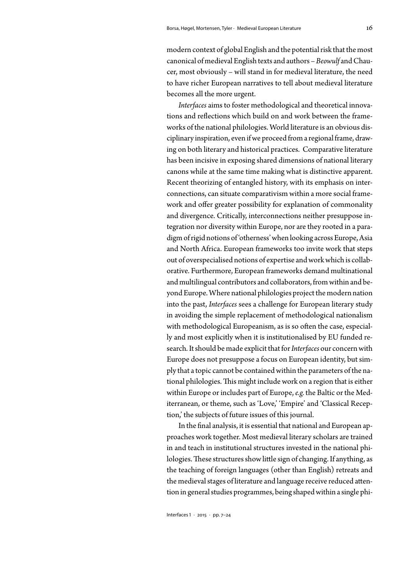modern context of global English and the potential risk that the most canonical of medieval English texts and authors – *Beowulf* and Chaucer, most obviously – will stand in for medieval literature, the need to have richer European narratives to tell about medieval literature becomes all the more urgent.

*Interfaces* aims to foster methodological and theoretical innovations and reflections which build on and work between the frameworks of the national philologies. World literature is an obvious disciplinary inspiration, even if we proceed from a regional frame, drawing on both literary and historical practices. Comparative literature has been incisive in exposing shared dimensions of national literary canons while at the same time making what is distinctive apparent. Recent theorizing of entangled history, with its emphasis on interconnections, can situate comparativism within a more social framework and offer greater possibility for explanation of commonality and divergence. Critically, interconnections neither presuppose integration nor diversity within Europe, nor are they rooted in a paradigm of rigid notions of 'otherness' when looking across Europe, Asia and North Africa. European frameworks too invite work that steps out of overspecialised notions of expertise and work which is collaborative. Furthermore, European frameworks demand multinational and multilingual contributors and collaborators, from within and beyond Europe. Where national philologies project the modern nation into the past, *Interfaces* sees a challenge for European literary study in avoiding the simple replacement of methodological nationalism with methodological Europeanism, as is so often the case, especially and most explicitly when it is institutionalised by EU funded research. It should be made explicit that for *Interfaces* our concern with Europe does not presuppose a focus on European identity, but simply that a topic cannot be contained within the parameters of the national philologies. This might include work on a region that is either within Europe or includes part of Europe, *e.g.* the Baltic or the Mediterranean, or theme, such as 'Love,' 'Empire' and 'Classical Reception,' the subjects of future issues of this journal.

In the final analysis, it is essential that national and European approaches work together. Most medieval literary scholars are trained in and teach in institutional structures invested in the national philologies. These structures show little sign of changing. If anything, as the teaching of foreign languages (other than English) retreats and the medieval stages of literature and language receive reduced attention in general studies programmes, being shaped within a single phi-

Interfaces  $1 \cdot 2015 \cdot pp.$  7-24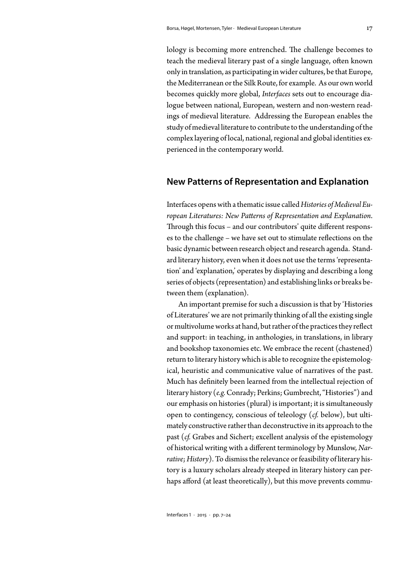lology is becoming more entrenched. The challenge becomes to teach the medieval literary past of a single language, often known only in translation, as participating in wider cultures, be that Europe, the Mediterranean or the Silk Route, for example. As our own world becomes quickly more global, *Interfaces* sets out to encourage dialogue between national, European, western and non-western readings of medieval literature. Addressing the European enables the study of medieval literature to contribute to the understanding of the complex layering of local, national, regional and global identities experienced in the contemporary world.

## **New Patterns of Representation and Explanation**

Interfaces opens with a thematic issue called *Histories of Medieval European Literatures: New Patterns of Representation and Explanation*. Through this focus – and our contributors' quite different responses to the challenge – we have set out to stimulate reflections on the basic dynamic between research object and research agenda. Standard literary history, even when it does not use the terms 'representation' and 'explanation,' operates by displaying and describing a long series of objects (representation) and establishing links or breaks between them (explanation).

An important premise for such a discussion is that by 'Histories of Literatures' we are not primarily thinking of all the existing single or multivolume works at hand, but rather of the practices they reflect and support: in teaching, in anthologies, in translations, in library and bookshop taxonomies etc. We embrace the recent (chastened) return to literary history which is able to recognize the epistemological, heuristic and communicative value of narratives of the past. Much has definitely been learned from the intellectual rejection of literary history (*e.g.* Conrady; Perkins; Gumbrecht, "Histories") and our emphasis on histories (plural) is important; it is simultaneously open to contingency, conscious of teleology (*cf.* below), but ultimately constructive rather than deconstructive in its approach to the past (*cf.* Grabes and Sichert; excellent analysis of the epistemology of historical writing with a different terminology by Munslow, *Narrative*; *History*). To dismiss the relevance or feasibility of literary history is a luxury scholars already steeped in literary history can perhaps afford (at least theoretically), but this move prevents commu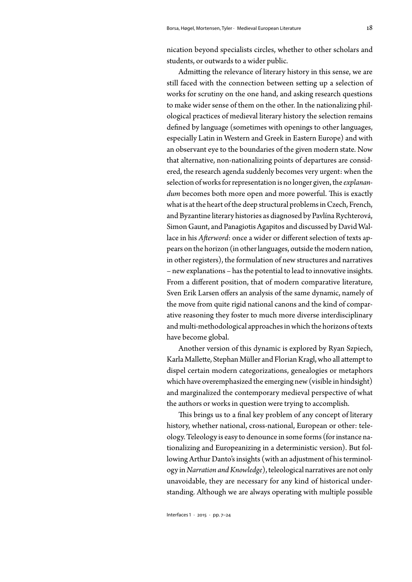nication beyond specialists circles, whether to other scholars and students, or outwards to a wider public.

Admitting the relevance of literary history in this sense, we are still faced with the connection between setting up a selection of works for scrutiny on the one hand, and asking research questions to make wider sense of them on the other. In the nationalizing philological practices of medieval literary history the selection remains defined by language (sometimes with openings to other languages, especially Latin in Western and Greek in Eastern Europe) and with an observant eye to the boundaries of the given modern state. Now that alternative, non-nationalizing points of departures are considered, the research agenda suddenly becomes very urgent: when the selection of works for representation is no longer given, the *explanandum* becomes both more open and more powerful. This is exactly what is at the heart of the deep structural problems in Czech, French, and Byzantine literary histories as diagnosed by Pavlína Rychterová, Simon Gaunt, and Panagiotis Agapitos and discussed by David Wallace in his *Afterword*: once a wider or different selection of texts appears on the horizon (in other languages, outside the modern nation, in other registers), the formulation of new structures and narratives – new explanations – has the potential to lead to innovative insights. From a different position, that of modern comparative literature, Sven Erik Larsen offers an analysis of the same dynamic, namely of the move from quite rigid national canons and the kind of comparative reasoning they foster to much more diverse interdisciplinary and multi-methodological approaches in which the horizons of texts have become global.

Another version of this dynamic is explored by Ryan Szpiech, Karla Mallette, Stephan Müller and Florian Kragl, who all attempt to dispel certain modern categorizations, genealogies or metaphors which have overemphasized the emerging new (visible in hindsight) and marginalized the contemporary medieval perspective of what the authors or works in question were trying to accomplish.

This brings us to a final key problem of any concept of literary history, whether national, cross-national, European or other: teleology. Teleology is easy to denounce in some forms (for instance nationalizing and Europeanizing in a deterministic version). But following Arthur Danto's insights (with an adjustment of his terminology in *Narration and Knowledge*), teleological narratives are not only unavoidable, they are necessary for any kind of historical understanding. Although we are always operating with multiple possible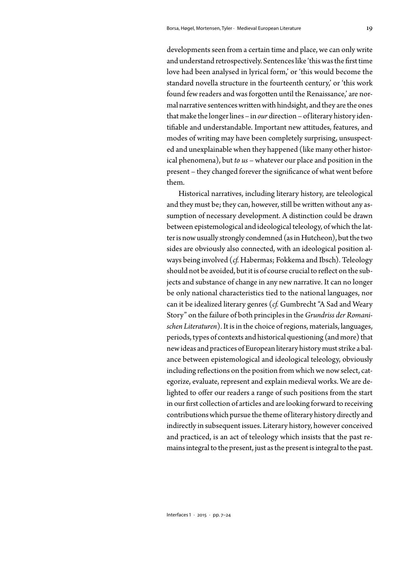developments seen from a certain time and place, we can only write and understand retrospectively. Sentences like 'this was the first time love had been analysed in lyrical form,' or 'this would become the standard novella structure in the fourteenth century,' or 'this work found few readers and was forgotten until the Renaissance,' are normal narrative sentences written with hindsight, and they are the ones that make the longer lines – in *our* direction – of literary history identifiable and understandable. Important new attitudes, features, and modes of writing may have been completely surprising, unsuspected and unexplainable when they happened (like many other historical phenomena), but *to us* – whatever our place and position in the present – they changed forever the significance of what went before them.

Historical narratives, including literary history, are teleological and they must be; they can, however, still be written without any assumption of necessary development. A distinction could be drawn between epistemological and ideological teleology, of which the latter is now usually strongly condemned (as in Hutcheon), but the two sides are obviously also connected, with an ideological position always being involved (*cf.* Habermas; Fokkema and Ibsch). Teleology should not be avoided, but it is of course crucial to reflect on the subjects and substance of change in any new narrative. It can no longer be only national characteristics tied to the national languages, nor can it be idealized literary genres (*cf.* Gumbrecht "A Sad and Weary Story" on the failure of both principles in the *Grundriss der Romanischen Literaturen*). It is in the choice of regions, materials, languages, periods, types of contexts and historical questioning (and more) that new ideas and practices of European literary history must strike a balance between epistemological and ideological teleology, obviously including reflections on the position from which we now select, categorize, evaluate, represent and explain medieval works. We are delighted to offer our readers a range of such positions from the start in our first collection of articles and are looking forward to receiving contributions which pursue the theme of literary history directly and indirectly in subsequent issues. Literary history, however conceived and practiced, is an act of teleology which insists that the past remains integral to the present, just as the present is integral to the past.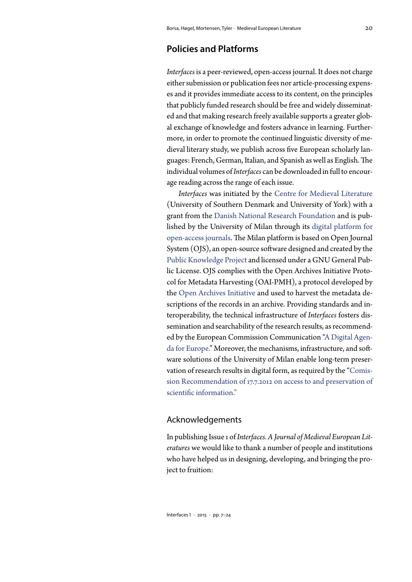# **Policies and Platforms**

*Interfaces* is a peer-reviewed, open-access journal. It does not charge either submission or publication fees nor article-processing expenses and it provides immediate access to its content, on the principles that publicly funded research should be free and widely disseminated and that making research freely available supports a greater global exchange of knowledge and fosters advance in learning. Furthermore, in order to promote the continued linguistic diversity of medieval literary study, we publish across five European scholarly languages: French, German, Italian, and Spanish as well as English. The individual volumes of *Interfaces* can be downloaded in full to encourage reading across the range of each issue.

*Interfaces* was initiated by the [Centre for Medieval Literature](http://sdu.dk/cml) (University of Southern Denmark and University of York) with a grant from the [Danish National Research Foundation](http://dg.dk) and is published by the University of Milan through its [digital platform for](http://riviste.unimi.it)  [open-access journals](http://riviste.unimi.it). The Milan platform is based on Open Journal System (OJS), an open-source software designed and created by the [Public Knowledge Project](https://pkp.sfu.ca/) and licensed under a GNU General Public License. OJS complies with the Open Archives Initiative Protocol for Metadata Harvesting (OAI-PMH), a protocol developed by the [Open Archives Initiative](http://www.openarchives.org/) and used to harvest the metadata descriptions of the records in an archive. Providing standards and interoperability, the technical infrastructure of *Interfaces* fosters dissemination and searchability of the research results, as recommended by the European Commission Communication ["A Digital Agen](http://eur-lex.europa.eu/legal-content/EN/TXT/%3Furi%3DCELEX:52010DC0245R%252801%2529)da for Europ[e."](http://eur-lex.europa.eu/legal-content/EN/TXT/%3Furi%3DCELEX:52010DC0245R%252801%2529) Moreover, the mechanisms, infrastructure, and software solutions of the University of Milan enable long-term preservation of research results in digital form, as required by the "Comis[sion Recommendation of 17.7.2012 on access to and preservation of](http://eur-lex.europa.eu/legal-content/EN/TXT/%3Furi%3DCELEX:32012H0417)  [scientific information."](http://eur-lex.europa.eu/legal-content/EN/TXT/%3Furi%3DCELEX:32012H0417)

#### Acknowledgements

In publishing Issue 1 of *Interfaces. A Journal of Medieval European Literatures* we would like to thank a number of people and institutions who have helped us in designing, developing, and bringing the project to fruition: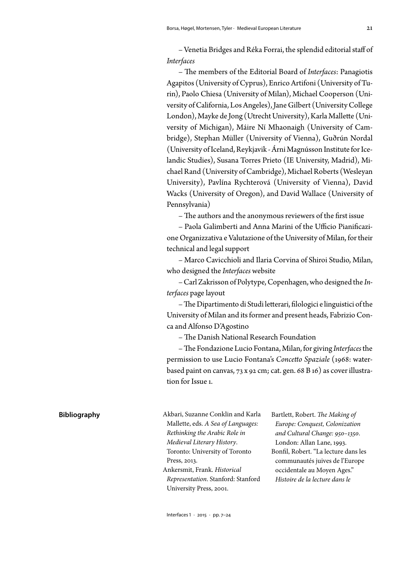– Venetia Bridges and Réka Forrai, the splendid editorial staff of *Interfaces*

– The members of the Editorial Board of *Interfaces*: Panagiotis Agapitos (University of Cyprus), Enrico Artifoni (University of Turin), Paolo Chiesa (University of Milan), Michael Cooperson (University of California, Los Angeles), Jane Gilbert (University College London), Mayke de Jong (Utrecht University), Karla Mallette (University of Michigan), Máire Ní Mhaonaigh (University of Cambridge), Stephan Müller (University of Vienna), Guðrún Nordal (University of Iceland, Reykjavik - Árni Magnússon Institute for Icelandic Studies), Susana Torres Prieto (IE University, Madrid), Michael Rand (University of Cambridge), Michael Roberts (Wesleyan University), Pavlína Rychterová (University of Vienna), David Wacks (University of Oregon), and David Wallace (University of Pennsylvania)

– The authors and the anonymous reviewers of the first issue

– Paola Galimberti and Anna Marini of the Ufficio Pianificazione Organizzativa e Valutazione of the University of Milan, for their technical and legal support

– Marco Cavicchioli and Ilaria Corvina of Shiroi Studio, Milan, who designed the *Interfaces* website

– Carl Zakrisson of Polytype, Copenhagen, who designed the *Interfaces* page layout

– The Dipartimento di Studi letterari, filologici e linguistici of the University of Milan and its former and present heads, Fabrizio Conca and Alfonso D'Agostino

– The Danish National Research Foundation

– The Fondazione Lucio Fontana, Milan, for giving *Interfaces* the permission to use Lucio Fontana's *Concetto Spaziale* (1968: waterbased paint on canvas, 73 x 92 cm; cat. gen. 68 B 16) as cover illustration for Issue 1.

#### **Bibliography**

Akbari, Suzanne Conklin and Karla Mallette, eds. *A Sea of Languages: Rethinking the Arabic Role in Medieval Literary History*. Toronto: University of Toronto Press, 2013. Ankersmit, Frank. *Historical Representation*. Stanford: Stanford University Press, 2001.

Bartlett, Robert. *The Making of Europe: Conquest, Colonization and Cultural Change: 950–1350*. London: Allan Lane, 1993. Bonfil, Robert. "La lecture dans les communautés juives de l'Europe occidentale au Moyen Ages." *Histoire de la lecture dans le*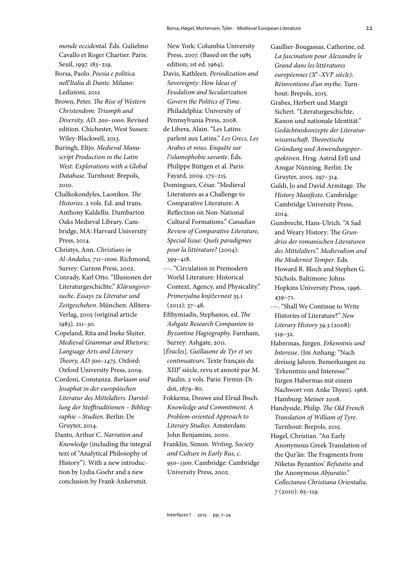*monde occidental*. Éds. Gulielmo Cavallo et Roger Chartier. Paris: Seuil, 1997. 183–219.

Borsa, Paolo. *Poesia e politica nell'Italia di Dante*. Milano: Ledizioni, 2012

Brown, Peter. *The Rise of Western Christendom: Triumph and Diversity, AD. 200–1000*. Revised edition. Chichester, West Sussex: Wiley-Blackwell, 2013.

Buringh, Eltjo. *Medieval Manuscript Production in the Latin West: Explorations with a Global Database*. Turnhout: Brepols, 2010.

Chalkokondyles, Laonikos. *The Histories*. 2 vols. Ed. and trans. Anthony Kaldellis. Dumbarton Oaks Medieval Library. Cambridge, MA: Harvard University Press, 2014.

Christys, Ann. *Christians in Al-Andalus, 711–1000*. Richmond, Surrey: Curzon Press, 2002.

- Conrady, Karl Otto. "Illusionen der Literaturgeschichte." *Klärungsversuche. Essays zu Literatur und Zeitgeschehen*. München: Allitera-Verlag, 2005 (original article 1983). 211–30.
- Copeland, Rita and Ineke Sluiter. *Medieval Grammar and Rhetoric: Language Arts and Literary Theory, AD 300–1475*. Oxford: Oxford University Press, 2009.
- Cordoni, Constanza. *Barlaam und Josaphat in der europäischen Literatur des Mittelalters. Darstellung der Stofftraditionen – Bibliographie – Studien*. Berlin: De Gruyter, 2014.
- Danto, Arthur C. *Narration and Knowledge* (including the integral text of "Analytical Philosophy of History"). With a new introduction by Lydia Goehr and a new conclusion by Frank Ankersmit.

New York: Columbia University Press, 2007. (Based on the 1985 edition; 1st ed. 1964). Davis, Kathleen. *Periodization and Sovereignty: How Ideas of Feudalism and Secularization Govern the Politics of Time*. Philadelphia: University of Pennsylvania Press, 2008. de Libera, Alain. "Les Latins parlent aux Latins." *Les Grecs, Les Arabes et nous. Enquête sur l'islamophobie savante*. Éds. Philippe Büttgen et al. Paris: Fayard, 2009. 175–215. Domínguez, César. "Medieval Literatures as a Challenge to

Comparative Literature: A Reflection on Non-National Cultural Formations." *Canadian Review of Comparative Literature, Special Issue: Quels paradigmes pour la littérature?* (2004): 399–418.

---. "Circulation in Premodern World Literature: Historical Context, Agency, and Physicality." *Primerjalna književnost* 35.1  $(2012): 37-48.$ 

[Efthymiadis](http://www.amazon.com/s/ref=dp_byline_sr_book_1?ie=UTF8&field-author=Stephanos+Efthymiadis&search-alias=books&text=Stephanos+Efthymiadis&sort=relevancerank), Stephanos, ed. *The Ashgate Research Companion to Byzantine Hagiography.* Farnham, Surrey: Ashgate, 2011.

[*Éracles*]. *Guillaume de Tyr et ses continuateurs*. Texte français du XIII<sup>e</sup> siècle, revu et annoté par M. Paulin. 2 vols. Paris: Firmin-Didot, 1879–80.

- Fokkema, Douwe and Elrud Ibsch. *Knowledge and Commitment. A Problem-oriented Approach to Literary Studies*. Amsterdam: John Benjamins, 2000.
- Franklin, Simon. *Writing, Society and Culture in Early Rus, c. 950–1300*. Cambridge: Cambridge University Press, 2002.
- Gaullier-Bougassas, Catherine, ed. *La fascination pour Alexandre le Grand dans les littératures européennes (Xe –XVIe siècle): Réinventions d'un mythe*. Turnhout: Brepols, 2015.
- Grabes, Herbert und Margit Sichert. "Literaturgeschichte, Kanon und nationale Identität." *Gedächtniskonzepte der Literaturwissenschaft. Theoretische Gründung und Anwendungsperspektiven*. Hrsg. Astrid Erll und Ansgar Nünning. Berlin: De Gruyter, 2005. 297–314.
- Guldi, Jo and David Armitage. *The History Manifesto*. Cambridge: Cambridge University Press, 2014.
- Gumbrecht, Hans-Ulrich. "A Sad and Weary History: The *Grundriss der romanischen Literaturen des Mittelalters*." *Medievalism and the Modernist Temper*. Eds. Howard R. Bloch and Stephen G. Nichols. Baltimore: Johns Hopkins University Press, 1996. 439–71.
- ---. "Shall We Continue to Write Histories of Literature?" *New Literary History* 39.3 (2008): 519–32.
- Habermas, Jürgen. *Erkenntnis und Interesse*. (Im Anhang: "Nach dreissig Jahren. Bemerkungen zu 'Erkenntnis und Interesse.'" Jürgen Habermas mit einem Nachwort von Anke Thyen). 1968. Hamburg: Meiner 2008.
- Handyside, Philip. *The Old French Translation of William of Tyre*. Turnhout: Brepols, 2015.
- [Høgel, Christian](http://findresearcher.sdu.dk/portal/en/persons/christian-hoegel(337cd941-81a2-4faa-96fc-99a9d6255289).html). ["An Early](http://findresearcher.sdu.dk/portal/en/publications/an-early-anonymous-greek-translation-of-the-qurn(7800de90-fc36-11de-aefb-000ea68e967b).html)  [Anonymous Greek Translation of](http://findresearcher.sdu.dk/portal/en/publications/an-early-anonymous-greek-translation-of-the-qurn(7800de90-fc36-11de-aefb-000ea68e967b).html)  [the Qur'ān: The Fragments from](http://findresearcher.sdu.dk/portal/en/publications/an-early-anonymous-greek-translation-of-the-qurn(7800de90-fc36-11de-aefb-000ea68e967b).html)  [Niketas Byzantios'](http://findresearcher.sdu.dk/portal/en/publications/an-early-anonymous-greek-translation-of-the-qurn(7800de90-fc36-11de-aefb-000ea68e967b).html) *Refutatio* and [the Anonymous](http://findresearcher.sdu.dk/portal/en/publications/an-early-anonymous-greek-translation-of-the-qurn(7800de90-fc36-11de-aefb-000ea68e967b).html) *Abjuratio*." *[Collectanea Christiana Orientalia](http://findresearcher.sdu.dk/portal/en/journals/collectanea-christiana-orientalia(8afc08bf-6312-4dd6-b081-a400e849307a).html)*, 7 (2010): 65–119.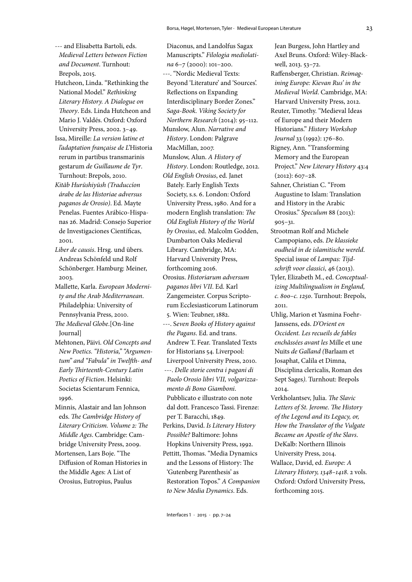- --- and Elisabetta Bartoli, eds. *Medieval Letters between Fiction and Document*. Turnhout: Brepols, 2015.
- Hutcheon, Linda. "Rethinking the National Model." *Rethinking Literary History. A Dialogue on Theory*. Eds. Linda Hutcheon and Mario J. Valdés. Oxford: Oxford University Press, 2002. 3–49.
- Issa, Mireille: *La version latine et l'adaptation française de L'*Historia rerum in partibus transmarinis gestarum *de Guillaume de Tyr*. Turnhout: Brepols, 2010.
- *Kitāb Hurūshiyūsh (Traduccíon árabe de las Historiae adversus paganos de Orosio)*. Ed. Mayte Penelas. Fuentes Arábico-Hispanas 26. Madrid: Consejo Superior de Investigaciones Científicas, 2001.
- *Liber de causis*. Hrsg. und übers. Andreas Schönfeld und Rolf Schönberger. Hamburg: Meiner, 2003.
- Mallette, Karla. *European Modernity and the Arab Mediterranean*. Philadelphia: University of Pennsylvania Press, 2010.
- *The Medieval Globe*.[On-line Journal]
- Mehtonen, Päivi. *Old Concepts and New Poetics. "Historia," "Argumentum" and "Fabula" in Twelfth- and Early Thirteenth-Century Latin Poetics of Fiction*. Helsinki: Societas Scientarum Fennica, 1996.
- Minnis, Alastair and Ian Johnson eds. *The Cambridge History of Literary Criticism. Volume 2: The Middle Ages*. Cambridge: Cambridge University Press, 2009. Mortensen, Lars Boje. "The
- Diffusion of Roman Histories in the Middle Ages: A List of Orosius, Eutropius, Paulus

Diaconus, and Landolfus Sagax Manuscripts." *Filologia mediolatina* 6–7 (2000): 101–200. ---. "Nordic Medieval Texts: Beyond 'Literature' and 'Sources'. Reflections on Expanding Interdisciplinary Border Zones." *Saga-Book. Viking Society for Northern Research* (2014): 95–112. Munslow, Alun. *Narrative and History*. London: Palgrave MacMillan, 2007. Munslow, Alun. *A History of History*. London: Routledge, 2012. *Old English Orosius*, ed. Janet Bately. Early English Texts Society, s.s. 6. London: Oxford University Press, 1980. And for a modern English translation: *The Old English History of the World by Orosius*, ed. Malcolm Godden, Dumbarton Oaks Medieval Library. Cambridge, MA: Harvard University Press, forthcoming 2016. Orosius. *Historiarum adversum paganos libri VII*. Ed. Karl Zangemeister. Corpus Scriptorum Ecclesiasticorum Latinorum 5. Wien: Teubner, 1882. ---. S*even Books of History against the Pagans*. Ed. and trans. Andrew T. Fear. Translated Texts

for Historians 54. Liverpool: Liverpool University Press, 2010. ---. *Delle storie contra i pagani di Paolo Orosio libri VII, volgarizzamento di Bono Giamboni*. Pubblicato e illustrato con note dal dott. Francesco Tassi. Firenze: per T. Baracchi, 1849.

Perkins, David. *Is Literary History Possible?* Baltimore: Johns Hopkins University Press, 1992. Pettitt, Thomas. "Media Dynamics and the Lessons of History: The 'Gutenberg Parenthesis' as Restoration Topos." *A Companion to New Media Dynamics*. Eds.

Jean Burgess, John Hartley and Axel Bruns. Oxford: Wiley-Blackwell, 2013. 53–72.

- Raffensberger, Christian. *Reimagining Europe: Kievan Rus' in the Medieval World*. Cambridge, MA: Harvard University Press, 2012.
- Reuter, Timothy. "Medieval Ideas of Europe and their Modern Historians." *History Workshop Journal* 33 (1992): 176–80.
- Rigney, Ann. "Transforming Memory and the European Project." *New Literary History* 43:4 (2012): 607–28.
- Sahner, Christian C. "From Augustine to Islam: Translation and History in the Arabic Orosius." *Speculum* 88 (2013): 905–31.
- Strootman Rolf and Michele Campopiano, eds. *De klassieke oudheid in de islamitische wereld*. Special issue of *Lampas: Tijdschrift voor classici*, 46 (2013).
- Tyler, Elizabeth M., ed. *Conceptualizing Multilingualism in England, c. 800–c. 1250*. Turnhout: Brepols, 2011.
- Uhlig, Marion et Yasmina Foehr-Janssens, eds. *D'Orient en Occident. Les recueils de fables enchâssées avant les* Mille et une Nuits *de Galland (*Barlaam et Josaphat, Calila et Dimna, Disciplina clericalis, Roman des Sept Sages*)*. Turnhout: Brepols 2014.
- Verkholantsev, Julia. *The Slavic Letters of St. Jerome. The History of the Legend and its Legacy, or, How the Translator of the Vulgate Became an Apostle of the Slavs*. DeKalb: Northern Illinois University Press, 2014. Wallace, David, ed. *Europe: A Literary History, 1348–1418*. 2 vols. Oxford: Oxford University Press,

forthcoming 2015.